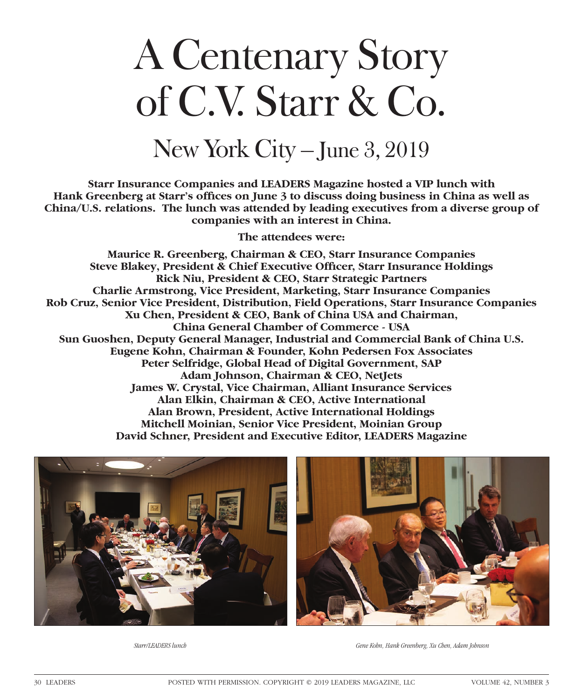## A Centenary Story of C.V. Starr & Co.

## New York City – June 3, 2019

**Starr Insurance Companies and LEADERS Magazine hosted a VIP lunch with**  Hank Greenberg at Starr's offices on June 3 to discuss doing business in China as well as **China/U.S. relations. The lunch was attended by leading executives from a diverse group of companies with an interest in China.**

**The attendees were:**

**Maurice R. Greenberg, Chairman & CEO, Starr Insurance Companies Steve Blakey, President & Chief Executive Officer, Starr Insurance Holdings Rick Niu, President & CEO, Starr Strategic Partners Charlie Armstrong, Vice President, Marketing, Starr Insurance Companies Rob Cruz, Senior Vice President, Distribution, Field Operations, Starr Insurance Companies Xu Chen, President & CEO, Bank of China USA and Chairman, China General Chamber of Commerce - USA Sun Guoshen, Deputy General Manager, Industrial and Commercial Bank of China U.S. Eugene Kohn, Chairman & Founder, Kohn Pedersen Fox Associates Peter Selfridge, Global Head of Digital Government, SAP Adam Johnson, Chairman & CEO, NetJets James W. Crystal, Vice Chairman, Alliant Insurance Services Alan Elkin, Chairman & CEO, Active International Alan Brown, President, Active International Holdings Mitchell Moinian, Senior Vice President, Moinian Group David Schner, President and Executive Editor, LEADERS Magazine**





*Starr/LEADERS lunch*

*Gene Kohn, Hank Greenberg, Xu Chen, Adam Johnson*